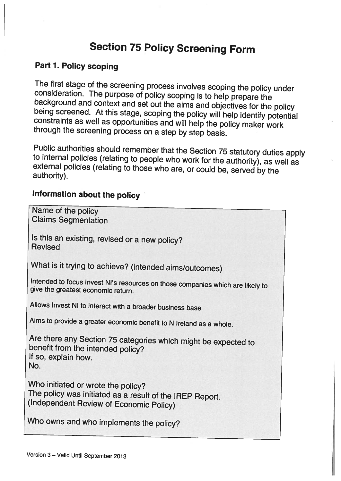# Section <sup>75</sup> Policy Screening Form

### Part 1. Policy scoping

The first stage of the screening process involves scoping the policy under consideration. The purpose of policy scoping is to help prepare the background and context and set out the aims and objectives for the policy being

Public authorities should remember that the Section 75 statutory duties apply<br>to internal policies (relating to people who work for the authority), as well as<br>external policies (relating to those who are, or could be, serv

## Information about the policy

| Name of the policy<br><b>Claims Segmentation</b>                                                                                          |
|-------------------------------------------------------------------------------------------------------------------------------------------|
| Is this an existing, revised or a new policy?<br><b>Revised</b>                                                                           |
| What is it trying to achieve? (intended aims/outcomes)                                                                                    |
| Intended to focus Invest NI's resources on those companies which are likely to<br>give the greatest economic return.                      |
| Allows Invest NI to interact with a broader business base                                                                                 |
| Aims to provide a greater economic benefit to N Ireland as a whole.                                                                       |
| Are there any Section 75 categories which might be expected to<br>benefit from the intended policy?<br>If so, explain how.<br>No.         |
| Who initiated or wrote the policy?<br>The policy was initiated as a result of the IREP Report.<br>(Independent Review of Economic Policy) |
| Who owns and who implements the policy?                                                                                                   |
|                                                                                                                                           |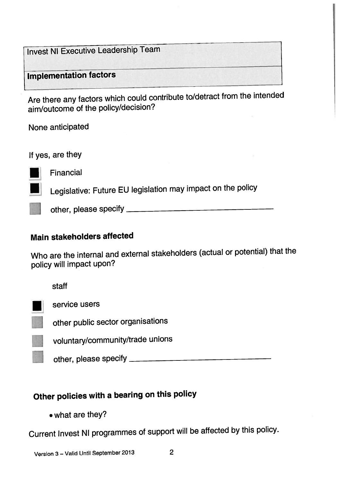Invest NI Executive Leadership Team

Implementation factors

Are there any factors which could contribute to/detract from the intended aim/outcome of the policy/decision?

None anticipated

If yes, are they

**Financial** 

Legislative: Future EU legislation may impact on the policy

other, <sup>p</sup>lease specify

### Main stakeholders affected

Who are the internal and external stakeholders (actual or potential) that the policy will impact upon?

staff

service users

other public sector organisations

voluntary/community/trade unions

other, <sup>p</sup>lease specify

# Other policies with <sup>a</sup> bearing on this policy

• what are they?

Current Invest NI programmes of support will be affected by this policy.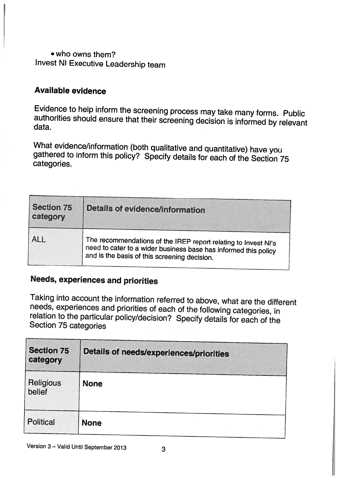### . who owns them? Invest NI Executive Leadership team

### Available evidence

Evidence to help inform the screening process may take many forms. Public authorities should ensure that their screening decision is informed by relevant data.

What evidence/information (both qualitative and quantitative) have you gathered to inform this policy? Specify details for each of the Section 75 categories.

| <b>Section 75</b><br>category | <b>Details of evidence/information</b>                                                                                                                                            |  |
|-------------------------------|-----------------------------------------------------------------------------------------------------------------------------------------------------------------------------------|--|
| <b>ALL</b>                    | The recommendations of the IREP report relating to Invest NI's<br>need to cater to a wider business base has informed this policy<br>and is the basis of this screening decision. |  |

## Needs, experiences and priorities

Taking into account the information referred to above, what are the different needs, experiences and priorities of each of the following categories, in relation to the particular policy/decision? Specify details for each o

| <b>Section 75</b><br>category | <b>Details of needs/experiences/priorities</b> |  |
|-------------------------------|------------------------------------------------|--|
| Religious<br>belief           | <b>None</b>                                    |  |
| <b>Political</b>              | <b>None</b>                                    |  |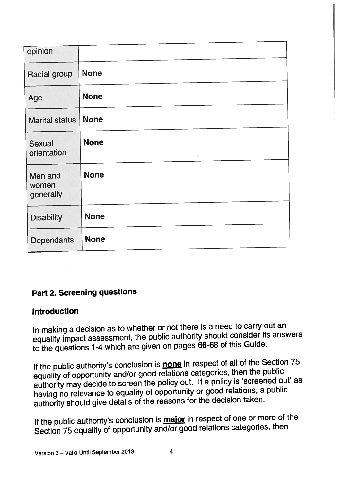| opinion                       |                   |
|-------------------------------|-------------------|
| <b>Racial group</b>           | <b>None</b>       |
| Age                           | <b>None</b>       |
| <b>Marital status</b>         | ÷.<br><b>None</b> |
| Sexual<br>orientation         | <b>None</b><br>S. |
| Men and<br>women<br>generally | <b>None</b>       |
| <b>Disability</b>             | <b>None</b>       |
| <b>Dependants</b>             | <b>None</b>       |

## Part 2. Screening questions

#### Introduction

In making <sup>a</sup> decision as to whether or not there is <sup>a</sup> need to carry out an equality impact assessment, the public authority should consider its answers to the questions 1-4 which are <sup>g</sup>iven on pages 66-68 of this Guide.

If the public authority's conclusion is **none** in respect of all of the Section 75 equality of opportunity and/or goo<sup>d</sup> relations categories, then the public authority may decide to screen the policy out. If <sup>a</sup> policy is 'screened out' as having no relevance to equality of opportunity or goo<sup>d</sup> relations, <sup>a</sup> public authority should <sup>g</sup>ive details of the reasons for the decision taken.

If the public authority's conclusion is **major** in respect of one or more of the Section 75 equality of opportunity and/or good relations categories, then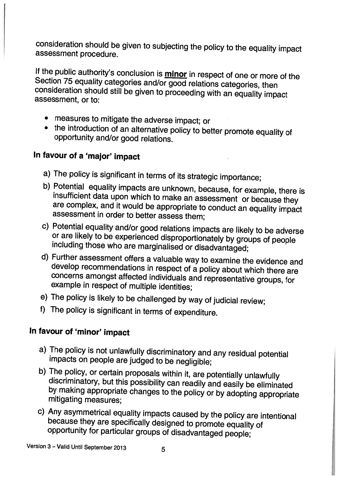consideration should be <sup>g</sup>iven to subjecting the policy to the equality impact assessment procedure.

If the public authority's conclusion is **minor** in respect of one or more of the Section 75 equality categories and/or good relations categories, then consideration should still be given to proceeding with an equality impa

- measures to mitigate the adverse impact; or
- the introduction of an alternative policy to better promote equality of opportunity and/or good relations.

### In favour of <sup>a</sup> 'major' impact

- 
- a) The policy is significant in terms of its strategic importance;<br>b) Potential equality impacts are unknown, because, for example, there is insufficient data upon which to make an assessment or because they are complex, and it would be appropriate to conduct an equality impact assessment in order to better assess them:
- c) Potential equality and/or good relations impacts are likely to be adverse or are likely to be experienced disproportionately by groups of people including those who are marginalised or disadvantaged;
- d) Further assessment offers a valuable way to examine the evidence and Further assessment offers a valuable way to examine the evidence and<br>develop recommendations in respect of a policy about which there are concerns amongst affected individuals and representative groups, for example in respect of multiple identities;
- e) The policy is likely to be challenged by way of judicial review;
- f) The policy is significant in terms of expenditure.

## In favour of 'minor' impact

- a) The policy is not unlawfully discriminatory and any residual potential impacts on people are judged to be negligible;
- b) The policy, or certain proposals within it, are potentially unlawfully discriminatory, but this possibility can readily and easily be eliminated by making appropriate changes to the policy or by adopting appropriate mit
- c) Any asymmetrical equality impacts caused by the policy are intentional because they are specifically designed to promote equality of opportunity for particular groups of disadvantaged people;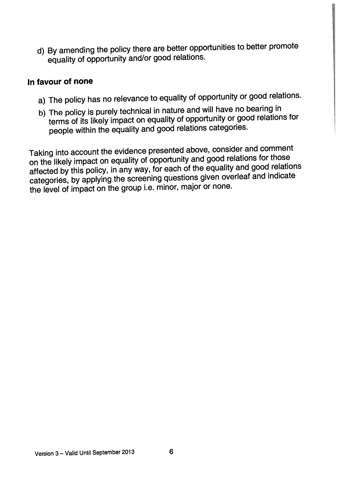d) By amending the policy there are better opportunities to better promote equality of opportunity and/or goo<sup>d</sup> relations.

#### In favour of none

- a) The policy has no relevance to equality of opportunity or goo<sup>d</sup> relations.
- b) The policy is purely technical in nature and will have no bearing in terms of its likely impact on equality of opportunity or goo<sup>d</sup> relations for people within the equality and goo<sup>d</sup> relations categories.

Taking into account the evidence presented above, consider and comment on the likely impact on equality of opportunity and goo<sup>d</sup> relations for those affected by this policy, in any way, for each of the equality and goo<sup>d</sup> relations categories, by applying the screening questions <sup>g</sup>iven overleaf and indicate the level of impact on the group i.e. minor, major or none.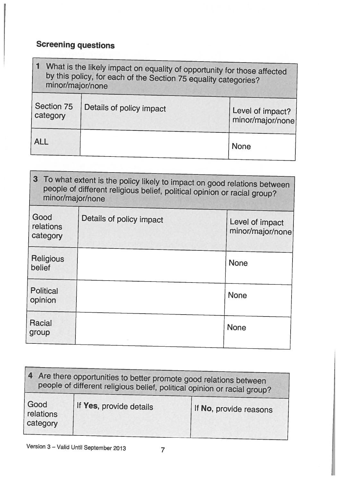# Screening questions

| What is the likely impact on equality of opportunity for those affected<br>by this policy, for each of the Section 75 equality categories?<br>minor/major/none |                          |                                      |
|----------------------------------------------------------------------------------------------------------------------------------------------------------------|--------------------------|--------------------------------------|
| Section 75<br>category                                                                                                                                         | Details of policy impact | Level of impact?<br>minor/major/none |
| <b>ALL</b>                                                                                                                                                     |                          | <b>None</b>                          |

| 3 To what extent is the policy likely to impact on good relations between<br>people of different religious belief, political opinion or racial group?<br>minor/major/none |                          |                                     |
|---------------------------------------------------------------------------------------------------------------------------------------------------------------------------|--------------------------|-------------------------------------|
| Good<br>relations<br>category                                                                                                                                             | Details of policy impact | Level of impact<br>minor/major/none |
| <b>Religious</b><br>belief                                                                                                                                                |                          | <b>None</b>                         |
| <b>Political</b><br>opinion                                                                                                                                               |                          | <b>None</b>                         |
| Racial<br>group                                                                                                                                                           |                          | <b>None</b>                         |

| 4 Are there opportunities to better promote good relations between<br>people of different religious belief, political opinion or racial group? |                         |                        |  |
|------------------------------------------------------------------------------------------------------------------------------------------------|-------------------------|------------------------|--|
| Good<br>relations<br>category                                                                                                                  | If Yes, provide details | If No, provide reasons |  |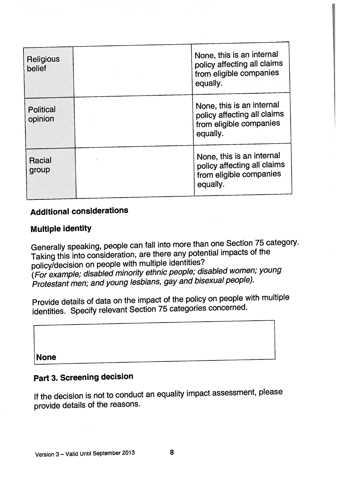| <b>Religious</b><br>belief  | None, this is an internal<br>policy affecting all claims<br>from eligible companies             |
|-----------------------------|-------------------------------------------------------------------------------------------------|
|                             | equally.                                                                                        |
| <b>Political</b><br>opinion | None, this is an internal<br>policy affecting all claims<br>from eligible companies<br>equally. |
| Racial<br>group             | None, this is an internal<br>policy affecting all claims<br>from eligible companies<br>equally. |

### Additional considerations

#### Multiple identity

Generally speaking, people can fall into more than one Section <sup>75</sup> category. Taking this into consideration, are there any potential impacts of the policy/decision on people with multiple identities? (For example; disabled minority ethnic people; disabled women; young Protestant men; and young lesbians, gay and bisexual people).

Provide details of data on the impact of the policy on people with multiple identities. Specify relevant Section <sup>75</sup> categories concerned.

None

## Part 3. Screening decision

If the decision is not to conduct an equality impact assessment, <sup>p</sup>lease provide details of the reasons.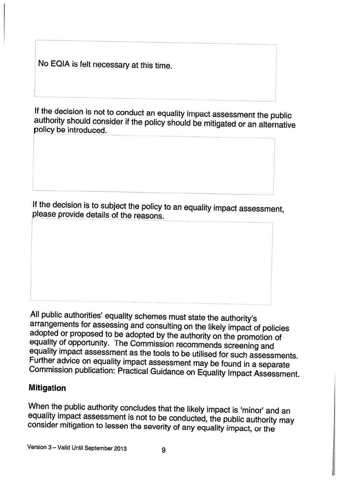No EQIA is felt necessary at this time.

If the decision is not to conduct an equality impact assessment the public authority should consider if the policy should be mitigated or an alternative policy be introduced.

If the decision is to subject the policy to an equality impact assessment, <sup>p</sup>lease provide details of the reasons.

All public authorities' equality schemes must state the authority's<br>arrangements for assessing and consulting on the likely impact of policies<br>adopted or proposed to be adopted by the authority on the promotion of<br>equality

#### Mitigation

When the public authority concludes that the likely impact is 'minor' and an equality impact assessment is not to be conducted, the public authority may consider mitigation to lessen the severity of any equality impact, or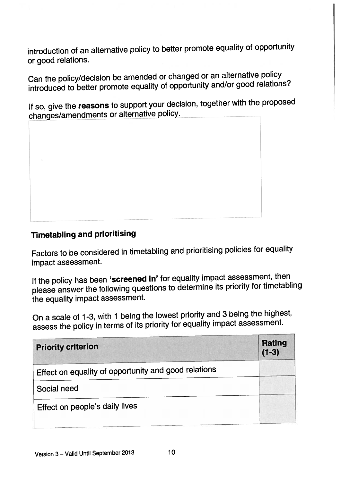introduction of an alternative policy to better promote equality of opportunity or goo<sup>d</sup> relations.

Can the policy/decision be amended or changed or an alternative policy introduced to better promote equality of opportunity and/or goo<sup>d</sup> relations?

If so, give the reasons to support your decision, together with the proposed changes/amendments or alternative policy.



## Timetabling and prioritising

Factors to be considered in timetabling and prioritising policies for equality impact assessment.

If the policy has been 'screened in' for equality impact assessment, then <sup>p</sup>lease answer the following questions to determine its priority for timetabling the equality impact assessment.

On <sup>a</sup> scale of 1-3, with <sup>1</sup> being the lowest priority and <sup>3</sup> being the highest, assess the policy in terms of its priority for equality impact assessment.

| <b>Priority criterion</b>                            | <b>Rating</b><br>$(1-3)$ |
|------------------------------------------------------|--------------------------|
| Effect on equality of opportunity and good relations |                          |
| Social need                                          |                          |
| Effect on people's daily lives                       |                          |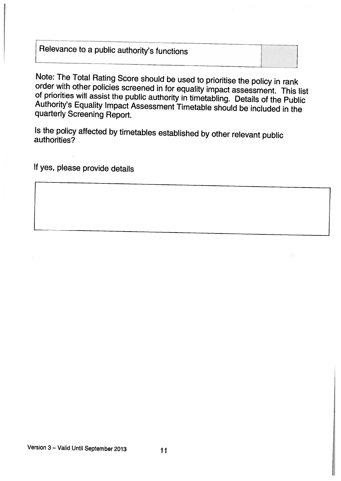# Relevance to a public authority's functions

Note: The Total Rating Score should be used to prioritise the policy in rank<br>order with other policies screened in for equality impact assessment. This list<br>of priorities will assist the public authority in timetabling. De

Is the policy affected by timetables established by other relevant public authorities?

If yes, <sup>p</sup>lease provide details